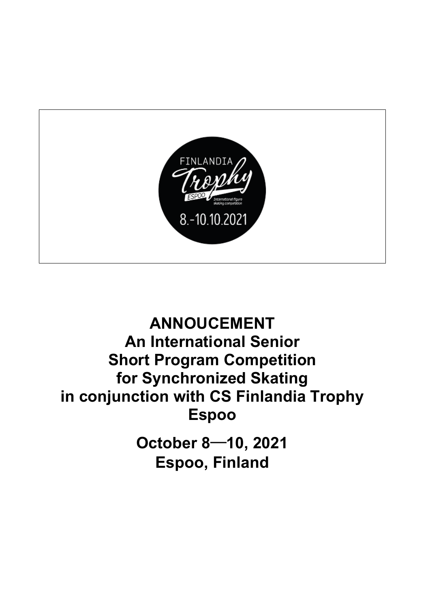

# **ANNOUCEMENT An International Senior Short Program Competition for Synchronized Skating in conjunction with CS Finlandia Trophy Espoo**

**October 8**─**10, 2021 Espoo, Finland**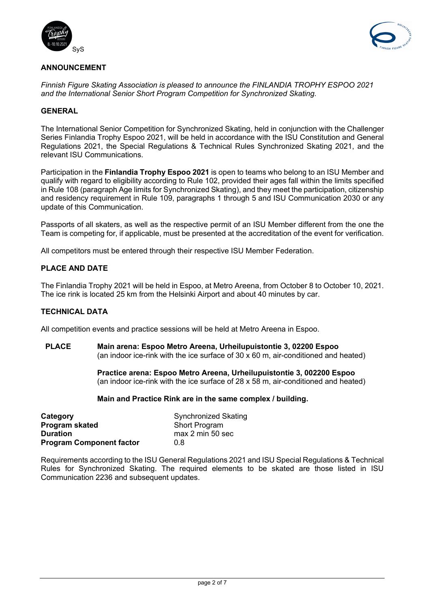



# **ANNOUNCEMENT**

*Finnish Figure Skating Association is pleased to announce the FINLANDIA TROPHY ESPOO 2021 and the International Senior Short Program Competition for Synchronized Skating.*

### **GENERAL**

The International Senior Competition for Synchronized Skating, held in conjunction with the Challenger Series Finlandia Trophy Espoo 2021, will be held in accordance with the ISU Constitution and General Regulations 2021, the Special Regulations & Technical Rules Synchronized Skating 2021, and the relevant ISU Communications.

Participation in the **Finlandia Trophy Espoo 2021** is open to teams who belong to an ISU Member and qualify with regard to eligibility according to Rule 102, provided their ages fall within the limits specified in Rule 108 (paragraph Age limits for Synchronized Skating), and they meet the participation, citizenship and residency requirement in Rule 109, paragraphs 1 through 5 and ISU Communication 2030 or any update of this Communication.

Passports of all skaters, as well as the respective permit of an ISU Member different from the one the Team is competing for, if applicable, must be presented at the accreditation of the event for verification.

All competitors must be entered through their respective ISU Member Federation.

# **PLACE AND DATE**

The Finlandia Trophy 2021 will be held in Espoo, at Metro Areena, from October 8 to October 10, 2021. The ice rink is located 25 km from the Helsinki Airport and about 40 minutes by car.

### **TECHNICAL DATA**

All competition events and practice sessions will be held at Metro Areena in Espoo.

**PLACE Main arena: Espoo Metro Areena, Urheilupuistontie 3, 02200 Espoo** (an indoor ice-rink with the ice surface of 30 x 60 m, air-conditioned and heated)

> **Practice arena: Espoo Metro Areena, Urheilupuistontie 3, 002200 Espoo** (an indoor ice-rink with the ice surface of 28 x 58 m, air-conditioned and heated)

### **Main and Practice Rink are in the same complex / building.**

| Category                        | <b>Synchronized Skating</b><br><b>Short Program</b> |  |
|---------------------------------|-----------------------------------------------------|--|
| Program skated                  |                                                     |  |
| <b>Duration</b>                 | max 2 min 50 sec                                    |  |
| <b>Program Component factor</b> | 0.8                                                 |  |

Requirements according to the ISU General Regulations 2021 and ISU Special Regulations & Technical Rules for Synchronized Skating. The required elements to be skated are those listed in ISU Communication 2236 and subsequent updates.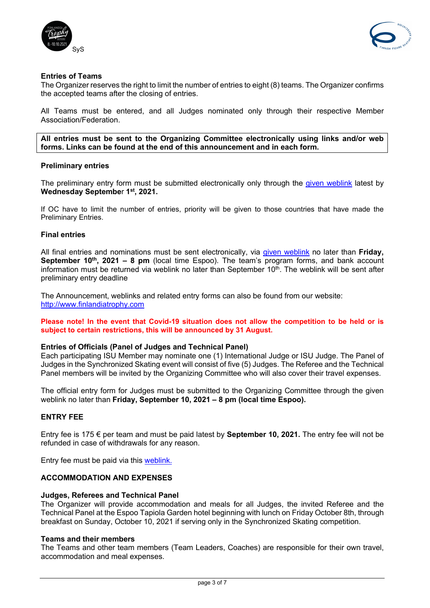



# **Entries of Teams**

The Organizer reserves the right to limit the number of entries to eight (8) teams. The Organizer confirms the accepted teams after the closing of entries.

All Teams must be entered, and all Judges nominated only through their respective Member Association/Federation.

**All entries must be sent to the Organizing Committee electronically using links and/or web forms. Links can be found at the end of this announcement and in each form.**

### **Preliminary entries**

The preliminary entry form must be submitted electronically only through the [given weblink](https://www.lyyti.fi/reg/FT2020_Synchro_Skating_Preliminary_and_Entry_Form_9983) latest by **Wednesday Septembe**r **1st, 2021.**

If OC have to limit the number of entries, priority will be given to those countries that have made the Preliminary Entries.

### **Final entries**

All final entries and nominations must be sent electronically, via [given weblink](https://www.lyyti.fi/reg/FT2020_Synchro_Skating_Preliminary_and_Entry_Form_9983) no later than **Friday, September 10th, 2021 – 8 pm** (local time Espoo). The team's program forms, and bank account information must be returned via weblink no later than September 10<sup>th</sup>. The weblink will be sent after preliminary entry deadline

The Announcement, weblinks and related entry forms can also be found from our website: [http://www.finlandiatrophy.com](http://www.finlandiatrophy.com/)

**Please note! In the event that Covid-19 situation does not allow the competition to be held or is subject to certain restrictions, this will be announced by 31 August.**

### **Entries of Officials (Panel of Judges and Technical Panel)**

Each participating ISU Member may nominate one (1) International Judge or ISU Judge. The Panel of Judges in the Synchronized Skating event will consist of five (5) Judges. The Referee and the Technical Panel members will be invited by the Organizing Committee who will also cover their travel expenses.

The official entry form for Judges must be submitted to the Organizing Committee through the given weblink no later than **Friday, September 10, 2021 – 8 pm (local time Espoo).**

# **ENTRY FEE**

Entry fee is 175 € per team and must be paid latest by **September 10, 2021.** The entry fee will not be refunded in case of withdrawals for any reason.

Entry fee must be paid via this [weblink.](https://www.lyyti.fi/reg/FT2020_CS_Entry_Fee_for_Competitors_6095)

# **ACCOMMODATION AND EXPENSES**

### **Judges, Referees and Technical Panel**

The Organizer will provide accommodation and meals for all Judges, the invited Referee and the Technical Panel at the Espoo Tapiola Garden hotel beginning with lunch on Friday October 8th, through breakfast on Sunday, October 10, 2021 if serving only in the Synchronized Skating competition.

### **Teams and their members**

The Teams and other team members (Team Leaders, Coaches) are responsible for their own travel, accommodation and meal expenses.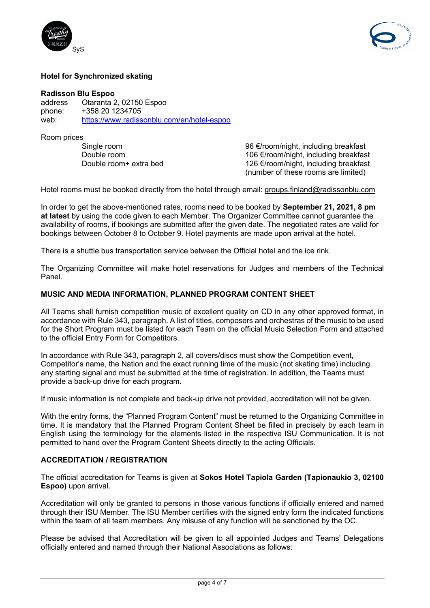



### **Hotel for Synchronized skating**

# **Radisson Blu Espoo**

address Otaranta 2, 02150 Espoo phone: +358 20 1234705<br>web: https://www.radiss <https://www.radissonblu.com/en/hotel-espoo>

Room prices<br>Single room

Single room 96 €/room/night, including breakfast Double room 106 €/room/night, including breakfast<br>Double room+ extra bed 126 €/room/night, including breakfast 126 €/room/night, including breakfast (number of these rooms are limited)

Hotel rooms must be booked directly from the hotel through email: [groups.finland@radissonblu.com](mailto:groups.finland@radissonblu.com)

In order to get the above-mentioned rates, rooms need to be booked by **September 21, 2021, 8 pm at latest** by using the code given to each Member. The Organizer Committee cannot guarantee the availability of rooms, if bookings are submitted after the given date. The negotiated rates are valid for bookings between October 8 to October 9. Hotel payments are made upon arrival at the hotel.

There is a shuttle bus transportation service between the Official hotel and the ice rink.

The Organizing Committee will make hotel reservations for Judges and members of the Technical Panel.

### **MUSIC AND MEDIA INFORMATION, PLANNED PROGRAM CONTENT SHEET**

All Teams shall furnish competition music of excellent quality on CD in any other approved format, in accordance with Rule 343, paragraph. A list of titles, composers and orchestras of the music to be used for the Short Program must be listed for each Team on the official Music Selection Form and attached to the official Entry Form for Competitors.

In accordance with Rule 343, paragraph 2, all covers/discs must show the Competition event, Competitor's name, the Nation and the exact running time of the music (not skating time) including any starting signal and must be submitted at the time of registration. In addition, the Teams must provide a back-up drive for each program.

If music information is not complete and back-up drive not provided, accreditation will not be given.

With the entry forms, the "Planned Program Content" must be returned to the Organizing Committee in time. It is mandatory that the Planned Program Content Sheet be filled in precisely by each team in English using the terminology for the elements listed in the respective ISU Communication. It is not permitted to hand over the Program Content Sheets directly to the acting Officials.

### **ACCREDITATION / REGISTRATION**

The official accreditation for Teams is given at **Sokos Hotel Tapiola Garden (Tapionaukio 3, 02100 Espoo)** upon arrival.

Accreditation will only be granted to persons in those various functions if officially entered and named through their ISU Member. The ISU Member certifies with the signed entry form the indicated functions within the team of all team members. Any misuse of any function will be sanctioned by the OC.

Please be advised that Accreditation will be given to all appointed Judges and Teams' Delegations officially entered and named through their National Associations as follows: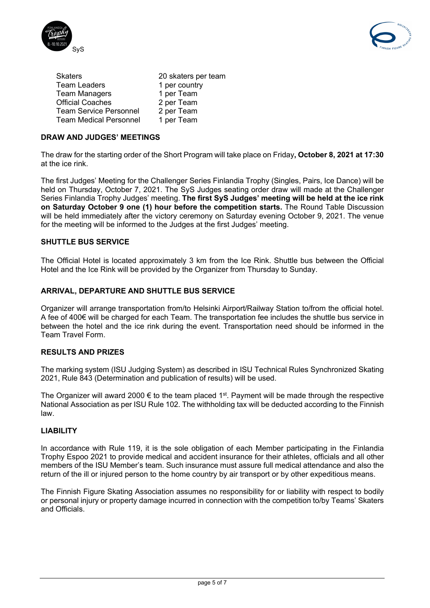



| 20 skaters per team |
|---------------------|
| 1 per country       |
| 1 per Team          |
| 2 per Team          |
| 2 per Team          |
| 1 per Team          |
|                     |

# **DRAW AND JUDGES' MEETINGS**

The draw for the starting order of the Short Program will take place on Friday**, October 8, 2021 at 17:30** at the ice rink.

The first Judges' Meeting for the Challenger Series Finlandia Trophy (Singles, Pairs, Ice Dance) will be held on Thursday, October 7, 2021. The SyS Judges seating order draw will made at the Challenger Series Finlandia Trophy Judges' meeting. **The first SyS Judges' meeting will be held at the ice rink on Saturday October 9 one (1) hour before the competition starts.** The Round Table Discussion will be held immediately after the victory ceremony on Saturday evening October 9, 2021. The venue for the meeting will be informed to the Judges at the first Judges' meeting.

# **SHUTTLE BUS SERVICE**

The Official Hotel is located approximately 3 km from the Ice Rink. Shuttle bus between the Official Hotel and the Ice Rink will be provided by the Organizer from Thursday to Sunday.

# **ARRIVAL, DEPARTURE AND SHUTTLE BUS SERVICE**

Organizer will arrange transportation from/to Helsinki Airport/Railway Station to/from the official hotel. A fee of 400€ will be charged for each Team. The transportation fee includes the shuttle bus service in between the hotel and the ice rink during the event. Transportation need should be informed in the Team Travel Form.

# **RESULTS AND PRIZES**

The marking system (ISU Judging System) as described in ISU Technical Rules Synchronized Skating 2021, Rule 843 (Determination and publication of results) will be used.

The Organizer will award 2000  $\epsilon$  to the team placed 1<sup>st</sup>. Payment will be made through the respective National Association as per ISU Rule 102. The withholding tax will be deducted according to the Finnish law.

# **LIABILITY**

In accordance with Rule 119, it is the sole obligation of each Member participating in the Finlandia Trophy Espoo 2021 to provide medical and accident insurance for their athletes, officials and all other members of the ISU Member's team. Such insurance must assure full medical attendance and also the return of the ill or injured person to the home country by air transport or by other expeditious means.

The Finnish Figure Skating Association assumes no responsibility for or liability with respect to bodily or personal injury or property damage incurred in connection with the competition to/by Teams' Skaters and Officials.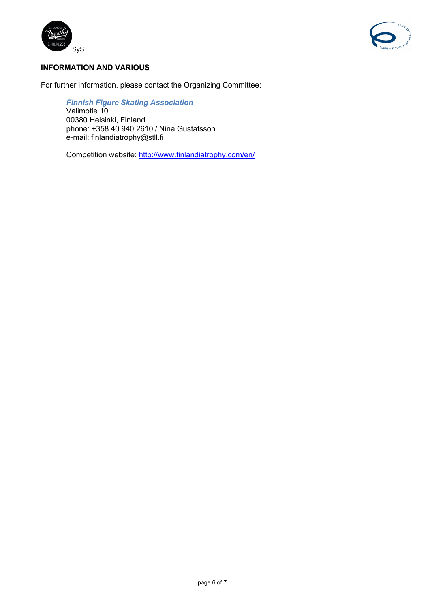



# **INFORMATION AND VARIOUS**

For further information, please contact the Organizing Committee:

*Finnish Figure Skating Association* Valimotie 10 00380 Helsinki, Finland phone: +358 40 940 2610 / Nina Gustafsson e-mail: [finlandiatrophy@stll.fi](mailto:finlandiatrophy@stll.fi)

Competition website:<http://www.finlandiatrophy.com/en/>